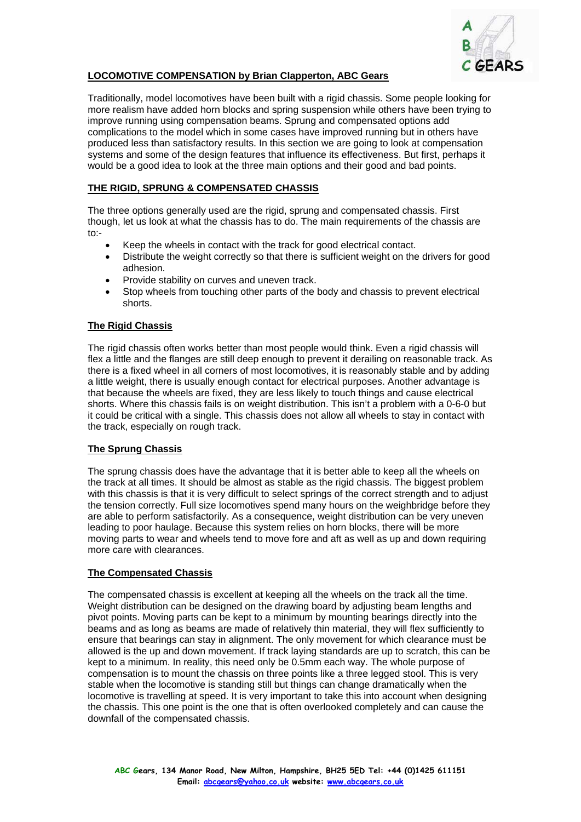

# **LOCOMOTIVE COMPENSATION by Brian Clapperton, ABC Gears**

Traditionally, model locomotives have been built with a rigid chassis. Some people looking for more realism have added horn blocks and spring suspension while others have been trying to improve running using compensation beams. Sprung and compensated options add complications to the model which in some cases have improved running but in others have produced less than satisfactory results. In this section we are going to look at compensation systems and some of the design features that influence its effectiveness. But first, perhaps it would be a good idea to look at the three main options and their good and bad points.

## **THE RIGID, SPRUNG & COMPENSATED CHASSIS**

The three options generally used are the rigid, sprung and compensated chassis. First though, let us look at what the chassis has to do. The main requirements of the chassis are  $t^{\circ}$ 

- Keep the wheels in contact with the track for good electrical contact.
- Distribute the weight correctly so that there is sufficient weight on the drivers for good adhesion.
- Provide stability on curves and uneven track.
- Stop wheels from touching other parts of the body and chassis to prevent electrical shorts.

## **The Rigid Chassis**

The rigid chassis often works better than most people would think. Even a rigid chassis will flex a little and the flanges are still deep enough to prevent it derailing on reasonable track. As there is a fixed wheel in all corners of most locomotives, it is reasonably stable and by adding a little weight, there is usually enough contact for electrical purposes. Another advantage is that because the wheels are fixed, they are less likely to touch things and cause electrical shorts. Where this chassis fails is on weight distribution. This isn't a problem with a 0-6-0 but it could be critical with a single. This chassis does not allow all wheels to stay in contact with the track, especially on rough track.

### **The Sprung Chassis**

The sprung chassis does have the advantage that it is better able to keep all the wheels on the track at all times. It should be almost as stable as the rigid chassis. The biggest problem with this chassis is that it is very difficult to select springs of the correct strength and to adjust the tension correctly. Full size locomotives spend many hours on the weighbridge before they are able to perform satisfactorily. As a consequence, weight distribution can be very uneven leading to poor haulage. Because this system relies on horn blocks, there will be more moving parts to wear and wheels tend to move fore and aft as well as up and down requiring more care with clearances.

### **The Compensated Chassis**

The compensated chassis is excellent at keeping all the wheels on the track all the time. Weight distribution can be designed on the drawing board by adjusting beam lengths and pivot points. Moving parts can be kept to a minimum by mounting bearings directly into the beams and as long as beams are made of relatively thin material, they will flex sufficiently to ensure that bearings can stay in alignment. The only movement for which clearance must be allowed is the up and down movement. If track laying standards are up to scratch, this can be kept to a minimum. In reality, this need only be 0.5mm each way. The whole purpose of compensation is to mount the chassis on three points like a three legged stool. This is very stable when the locomotive is standing still but things can change dramatically when the locomotive is travelling at speed. It is very important to take this into account when designing the chassis. This one point is the one that is often overlooked completely and can cause the downfall of the compensated chassis.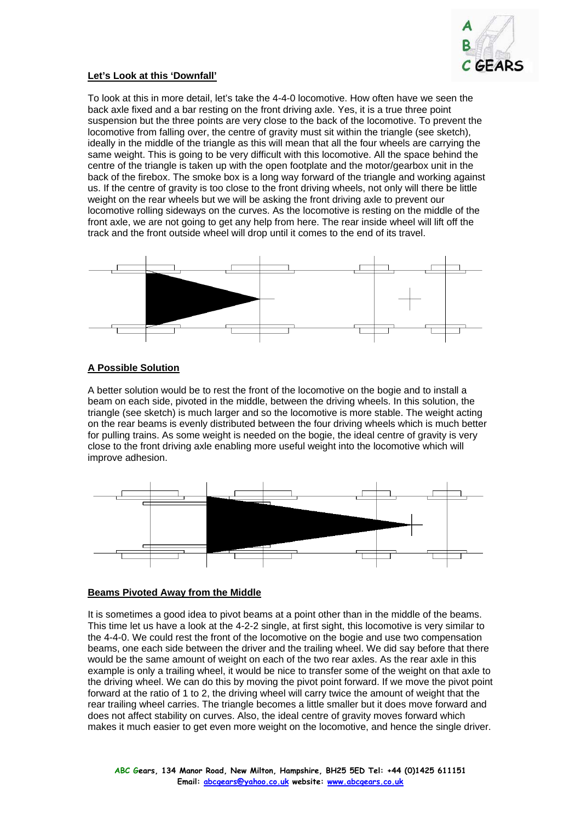

### **Let's Look at this 'Downfall'**

To look at this in more detail, let's take the 4-4-0 locomotive. How often have we seen the back axle fixed and a bar resting on the front driving axle. Yes, it is a true three point suspension but the three points are very close to the back of the locomotive. To prevent the locomotive from falling over, the centre of gravity must sit within the triangle (see sketch), ideally in the middle of the triangle as this will mean that all the four wheels are carrying the same weight. This is going to be very difficult with this locomotive. All the space behind the centre of the triangle is taken up with the open footplate and the motor/gearbox unit in the back of the firebox. The smoke box is a long way forward of the triangle and working against us. If the centre of gravity is too close to the front driving wheels, not only will there be little weight on the rear wheels but we will be asking the front driving axle to prevent our locomotive rolling sideways on the curves. As the locomotive is resting on the middle of the front axle, we are not going to get any help from here. The rear inside wheel will lift off the track and the front outside wheel will drop until it comes to the end of its travel.



## **A Possible Solution**

A better solution would be to rest the front of the locomotive on the bogie and to install a beam on each side, pivoted in the middle, between the driving wheels. In this solution, the triangle (see sketch) is much larger and so the locomotive is more stable. The weight acting on the rear beams is evenly distributed between the four driving wheels which is much better for pulling trains. As some weight is needed on the bogie, the ideal centre of gravity is very close to the front driving axle enabling more useful weight into the locomotive which will improve adhesion.



#### **Beams Pivoted Away from the Middle**

It is sometimes a good idea to pivot beams at a point other than in the middle of the beams. This time let us have a look at the 4-2-2 single, at first sight, this locomotive is very similar to the 4-4-0. We could rest the front of the locomotive on the bogie and use two compensation beams, one each side between the driver and the trailing wheel. We did say before that there would be the same amount of weight on each of the two rear axles. As the rear axle in this example is only a trailing wheel, it would be nice to transfer some of the weight on that axle to the driving wheel. We can do this by moving the pivot point forward. If we move the pivot point forward at the ratio of 1 to 2, the driving wheel will carry twice the amount of weight that the rear trailing wheel carries. The triangle becomes a little smaller but it does move forward and does not affect stability on curves. Also, the ideal centre of gravity moves forward which makes it much easier to get even more weight on the locomotive, and hence the single driver.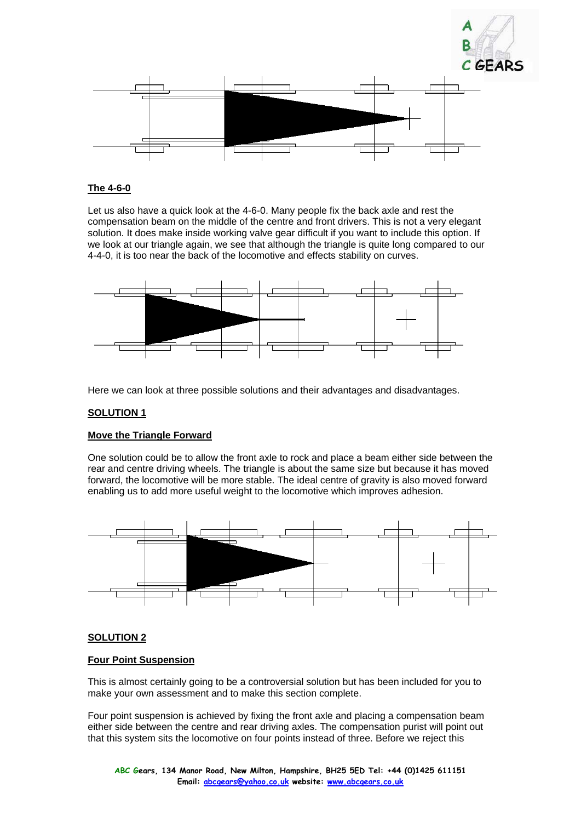



## **The 4-6-0**

Let us also have a quick look at the 4-6-0. Many people fix the back axle and rest the compensation beam on the middle of the centre and front drivers. This is not a very elegant solution. It does make inside working valve gear difficult if you want to include this option. If we look at our triangle again, we see that although the triangle is quite long compared to our 4-4-0, it is too near the back of the locomotive and effects stability on curves.



Here we can look at three possible solutions and their advantages and disadvantages.

### **SOLUTION 1**

#### **Move the Triangle Forward**

One solution could be to allow the front axle to rock and place a beam either side between the rear and centre driving wheels. The triangle is about the same size but because it has moved forward, the locomotive will be more stable. The ideal centre of gravity is also moved forward enabling us to add more useful weight to the locomotive which improves adhesion.



### **SOLUTION 2**

#### **Four Point Suspension**

This is almost certainly going to be a controversial solution but has been included for you to make your own assessment and to make this section complete.

Four point suspension is achieved by fixing the front axle and placing a compensation beam either side between the centre and rear driving axles. The compensation purist will point out that this system sits the locomotive on four points instead of three. Before we reject this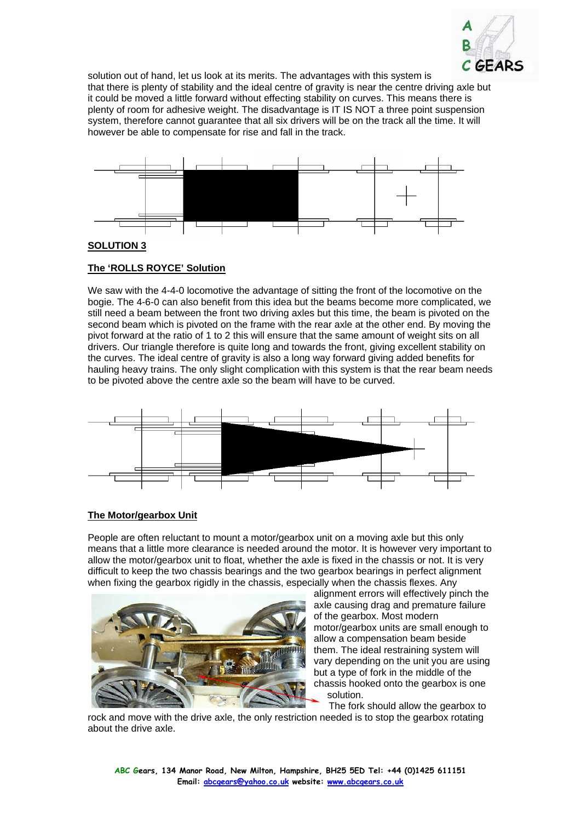

solution out of hand, let us look at its merits. The advantages with this system is that there is plenty of stability and the ideal centre of gravity is near the centre driving axle but it could be moved a little forward without effecting stability on curves. This means there is plenty of room for adhesive weight. The disadvantage is IT IS NOT a three point suspension system, therefore cannot guarantee that all six drivers will be on the track all the time. It will however be able to compensate for rise and fall in the track.



### **SOLUTION 3**

### **The 'ROLLS ROYCE' Solution**

We saw with the 4-4-0 locomotive the advantage of sitting the front of the locomotive on the bogie. The 4-6-0 can also benefit from this idea but the beams become more complicated, we still need a beam between the front two driving axles but this time, the beam is pivoted on the second beam which is pivoted on the frame with the rear axle at the other end. By moving the pivot forward at the ratio of 1 to 2 this will ensure that the same amount of weight sits on all drivers. Our triangle therefore is quite long and towards the front, giving excellent stability on the curves. The ideal centre of gravity is also a long way forward giving added benefits for hauling heavy trains. The only slight complication with this system is that the rear beam needs to be pivoted above the centre axle so the beam will have to be curved.



# **The Motor/gearbox Unit**

People are often reluctant to mount a motor/gearbox unit on a moving axle but this only means that a little more clearance is needed around the motor. It is however very important to allow the motor/gearbox unit to float, whether the axle is fixed in the chassis or not. It is very difficult to keep the two chassis bearings and the two gearbox bearings in perfect alignment when fixing the gearbox rigidly in the chassis, especially when the chassis flexes. Any



alignment errors will effectively pinch the axle causing drag and premature failure of the gearbox. Most modern motor/gearbox units are small enough to allow a compensation beam beside them. The ideal restraining system will vary depending on the unit you are using but a type of fork in the middle of the chassis hooked onto the gearbox is one solution.

The fork should allow the gearbox to

rock and move with the drive axle, the only restriction needed is to stop the gearbox rotating about the drive axle.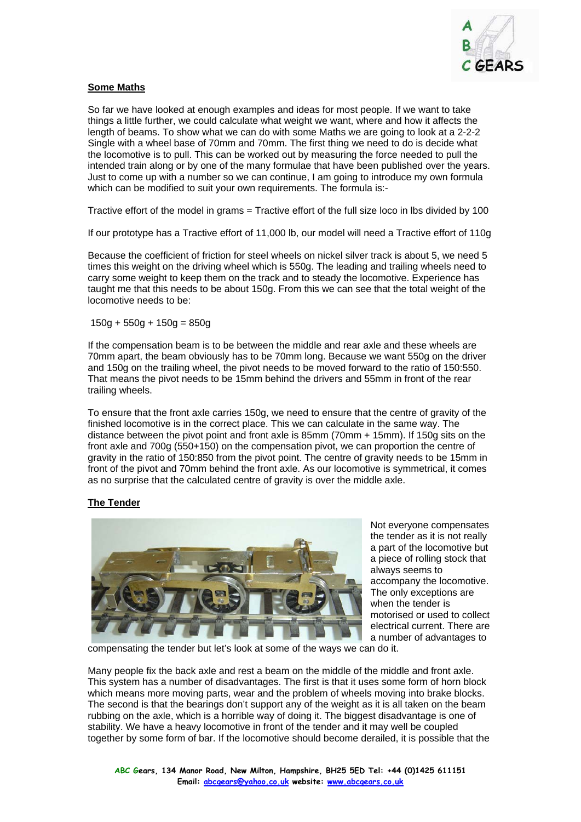

## **Some Maths**

So far we have looked at enough examples and ideas for most people. If we want to take things a little further, we could calculate what weight we want, where and how it affects the length of beams. To show what we can do with some Maths we are going to look at a 2-2-2 Single with a wheel base of 70mm and 70mm. The first thing we need to do is decide what the locomotive is to pull. This can be worked out by measuring the force needed to pull the intended train along or by one of the many formulae that have been published over the years. Just to come up with a number so we can continue, I am going to introduce my own formula which can be modified to suit your own requirements. The formula is:-

Tractive effort of the model in grams = Tractive effort of the full size loco in lbs divided by 100

If our prototype has a Tractive effort of 11,000 lb, our model will need a Tractive effort of 110g

Because the coefficient of friction for steel wheels on nickel silver track is about 5, we need 5 times this weight on the driving wheel which is 550g. The leading and trailing wheels need to carry some weight to keep them on the track and to steady the locomotive. Experience has taught me that this needs to be about 150g. From this we can see that the total weight of the locomotive needs to be:

 $150g + 550g + 150g = 850g$ 

If the compensation beam is to be between the middle and rear axle and these wheels are 70mm apart, the beam obviously has to be 70mm long. Because we want 550g on the driver and 150g on the trailing wheel, the pivot needs to be moved forward to the ratio of 150:550. That means the pivot needs to be 15mm behind the drivers and 55mm in front of the rear trailing wheels.

To ensure that the front axle carries 150g, we need to ensure that the centre of gravity of the finished locomotive is in the correct place. This we can calculate in the same way. The distance between the pivot point and front axle is 85mm (70mm + 15mm). If 150g sits on the front axle and 700g (550+150) on the compensation pivot, we can proportion the centre of gravity in the ratio of 150:850 from the pivot point. The centre of gravity needs to be 15mm in front of the pivot and 70mm behind the front axle. As our locomotive is symmetrical, it comes as no surprise that the calculated centre of gravity is over the middle axle.

# **The Tender**



Not everyone compensates the tender as it is not really a part of the locomotive but a piece of rolling stock that always seems to accompany the locomotive. The only exceptions are when the tender is motorised or used to collect electrical current. There are a number of advantages to

compensating the tender but let's look at some of the ways we can do it.

Many people fix the back axle and rest a beam on the middle of the middle and front axle. This system has a number of disadvantages. The first is that it uses some form of horn block which means more moving parts, wear and the problem of wheels moving into brake blocks. The second is that the bearings don't support any of the weight as it is all taken on the beam rubbing on the axle, which is a horrible way of doing it. The biggest disadvantage is one of stability. We have a heavy locomotive in front of the tender and it may well be coupled together by some form of bar. If the locomotive should become derailed, it is possible that the